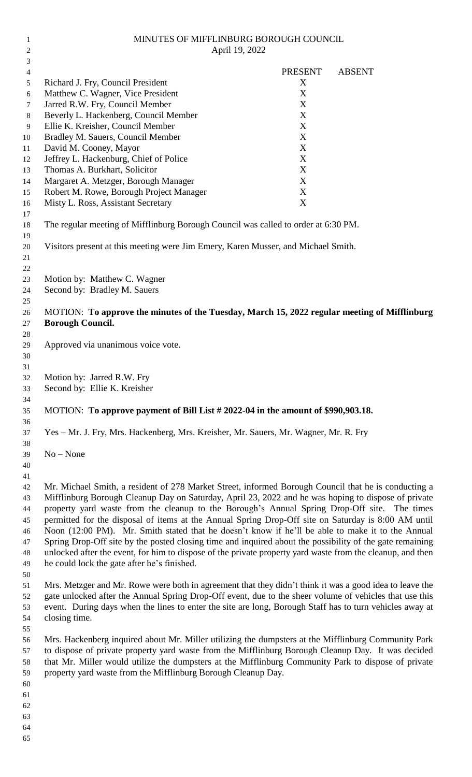| 2        | April 19, 2022                                                                                                                                                                                      |                |               |
|----------|-----------------------------------------------------------------------------------------------------------------------------------------------------------------------------------------------------|----------------|---------------|
| 3        |                                                                                                                                                                                                     |                |               |
| 4        |                                                                                                                                                                                                     | <b>PRESENT</b> | <b>ABSENT</b> |
| 5<br>6   | Richard J. Fry, Council President<br>Matthew C. Wagner, Vice President                                                                                                                              | X<br>X         |               |
| 7        | Jarred R.W. Fry, Council Member                                                                                                                                                                     | X              |               |
| 8        | Beverly L. Hackenberg, Council Member                                                                                                                                                               | X              |               |
| 9        | Ellie K. Kreisher, Council Member                                                                                                                                                                   | $\mathbf X$    |               |
| 10       | Bradley M. Sauers, Council Member                                                                                                                                                                   | $\mathbf X$    |               |
| 11       | David M. Cooney, Mayor                                                                                                                                                                              | X              |               |
| 12       | Jeffrey L. Hackenburg, Chief of Police                                                                                                                                                              | X              |               |
| 13       | Thomas A. Burkhart, Solicitor                                                                                                                                                                       | X              |               |
| 14       | Margaret A. Metzger, Borough Manager                                                                                                                                                                | X              |               |
| 15       | Robert M. Rowe, Borough Project Manager                                                                                                                                                             | X              |               |
| 16       | Misty L. Ross, Assistant Secretary                                                                                                                                                                  | X              |               |
| 17<br>18 | The regular meeting of Mifflinburg Borough Council was called to order at 6:30 PM.                                                                                                                  |                |               |
| 19       |                                                                                                                                                                                                     |                |               |
| 20<br>21 | Visitors present at this meeting were Jim Emery, Karen Musser, and Michael Smith.                                                                                                                   |                |               |
| 22       |                                                                                                                                                                                                     |                |               |
| 23<br>24 | Motion by: Matthew C. Wagner<br>Second by: Bradley M. Sauers                                                                                                                                        |                |               |
| 25       |                                                                                                                                                                                                     |                |               |
| 26       | MOTION: To approve the minutes of the Tuesday, March 15, 2022 regular meeting of Mifflinburg                                                                                                        |                |               |
| 27       | <b>Borough Council.</b>                                                                                                                                                                             |                |               |
| 28       |                                                                                                                                                                                                     |                |               |
| 29       | Approved via unanimous voice vote.                                                                                                                                                                  |                |               |
| 30       |                                                                                                                                                                                                     |                |               |
| 31       |                                                                                                                                                                                                     |                |               |
| 32       | Motion by: Jarred R.W. Fry                                                                                                                                                                          |                |               |
| 33       | Second by: Ellie K. Kreisher                                                                                                                                                                        |                |               |
| 34<br>35 | MOTION: To approve payment of Bill List # 2022-04 in the amount of \$990,903.18.                                                                                                                    |                |               |
| 36       |                                                                                                                                                                                                     |                |               |
| 37       | Yes - Mr. J. Fry, Mrs. Hackenberg, Mrs. Kreisher, Mr. Sauers, Mr. Wagner, Mr. R. Fry                                                                                                                |                |               |
| 38       |                                                                                                                                                                                                     |                |               |
| 39       | $No - None$                                                                                                                                                                                         |                |               |
| 40       |                                                                                                                                                                                                     |                |               |
| 41       |                                                                                                                                                                                                     |                |               |
| 42       | Mr. Michael Smith, a resident of 278 Market Street, informed Borough Council that he is conducting a                                                                                                |                |               |
| 43       | Mifflinburg Borough Cleanup Day on Saturday, April 23, 2022 and he was hoping to dispose of private<br>property yard waste from the cleanup to the Borough's Annual Spring Drop-Off site. The times |                |               |
| 44<br>45 | permitted for the disposal of items at the Annual Spring Drop-Off site on Saturday is 8:00 AM until                                                                                                 |                |               |
| 46       | Noon (12:00 PM). Mr. Smith stated that he doesn't know if he'll be able to make it to the Annual                                                                                                    |                |               |
| 47       | Spring Drop-Off site by the posted closing time and inquired about the possibility of the gate remaining                                                                                            |                |               |
| 48       | unlocked after the event, for him to dispose of the private property yard waste from the cleanup, and then                                                                                          |                |               |
| 49       | he could lock the gate after he's finished.                                                                                                                                                         |                |               |
| 50       |                                                                                                                                                                                                     |                |               |
| 51       | Mrs. Metzger and Mr. Rowe were both in agreement that they didn't think it was a good idea to leave the                                                                                             |                |               |
| 52       | gate unlocked after the Annual Spring Drop-Off event, due to the sheer volume of vehicles that use this                                                                                             |                |               |
| 53<br>54 | event. During days when the lines to enter the site are long, Borough Staff has to turn vehicles away at<br>closing time.                                                                           |                |               |
| 55       |                                                                                                                                                                                                     |                |               |
| 56       | Mrs. Hackenberg inquired about Mr. Miller utilizing the dumpsters at the Mifflinburg Community Park                                                                                                 |                |               |
| 57       | to dispose of private property yard waste from the Mifflinburg Borough Cleanup Day. It was decided                                                                                                  |                |               |
| 58       | that Mr. Miller would utilize the dumpsters at the Mifflinburg Community Park to dispose of private                                                                                                 |                |               |
| 59       | property yard waste from the Mifflinburg Borough Cleanup Day.                                                                                                                                       |                |               |
| 60       |                                                                                                                                                                                                     |                |               |
| 61       |                                                                                                                                                                                                     |                |               |
| 62       |                                                                                                                                                                                                     |                |               |
| 63       |                                                                                                                                                                                                     |                |               |
| 64<br>65 |                                                                                                                                                                                                     |                |               |
|          |                                                                                                                                                                                                     |                |               |

MINUTES OF MIFFLINBURG BOROUGH COUNCIL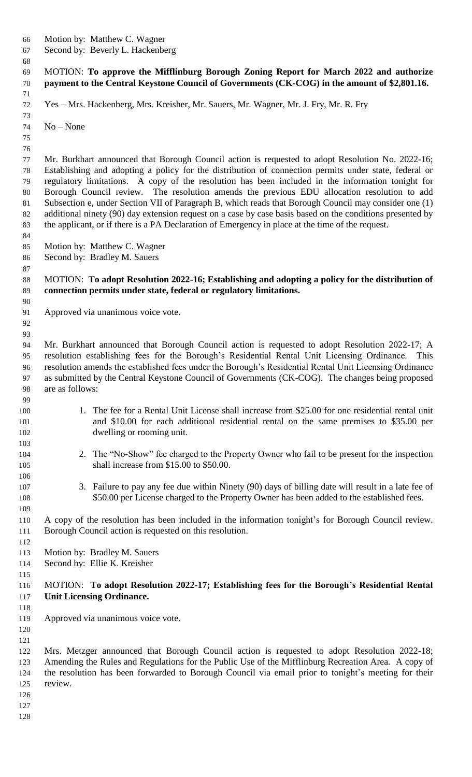- Motion by: Matthew C. Wagner
- Second by: Beverly L. Hackenberg

 MOTION: **To approve the Mifflinburg Borough Zoning Report for March 2022 and authorize payment to the Central Keystone Council of Governments (CK-COG) in the amount of \$2,801.16.**

Yes – Mrs. Hackenberg, Mrs. Kreisher, Mr. Sauers, Mr. Wagner, Mr. J. Fry, Mr. R. Fry

 No – None

 Mr. Burkhart announced that Borough Council action is requested to adopt Resolution No. 2022-16; Establishing and adopting a policy for the distribution of connection permits under state, federal or regulatory limitations. A copy of the resolution has been included in the information tonight for Borough Council review. The resolution amends the previous EDU allocation resolution to add Subsection e, under Section VII of Paragraph B, which reads that Borough Council may consider one (1) additional ninety (90) day extension request on a case by case basis based on the conditions presented by the applicant, or if there is a PA Declaration of Emergency in place at the time of the request.

Motion by: Matthew C. Wagner

Second by: Bradley M. Sauers

#### MOTION: **To adopt Resolution 2022-16; Establishing and adopting a policy for the distribution of connection permits under state, federal or regulatory limitations.**

- Approved via unanimous voice vote.
- 

 Mr. Burkhart announced that Borough Council action is requested to adopt Resolution 2022-17; A resolution establishing fees for the Borough's Residential Rental Unit Licensing Ordinance. This resolution amends the established fees under the Borough's Residential Rental Unit Licensing Ordinance as submitted by the Central Keystone Council of Governments (CK-COG). The changes being proposed are as follows:

- 100 1. The fee for a Rental Unit License shall increase from \$25.00 for one residential rental unit and \$10.00 for each additional residential rental on the same premises to \$35.00 per dwelling or rooming unit.
- 2. The "No-Show" fee charged to the Property Owner who fail to be present for the inspection 105 shall increase from \$15.00 to \$50.00.
- 3. Failure to pay any fee due within Ninety (90) days of billing date will result in a late fee of \$50.00 per License charged to the Property Owner has been added to the established fees.

 A copy of the resolution has been included in the information tonight's for Borough Council review. Borough Council action is requested on this resolution.

- 
- Motion by: Bradley M. Sauers
- Second by: Ellie K. Kreisher
- 

## MOTION: **To adopt Resolution 2022-17; Establishing fees for the Borough's Residential Rental Unit Licensing Ordinance.**

- 
- Approved via unanimous voice vote.
- 

 Mrs. Metzger announced that Borough Council action is requested to adopt Resolution 2022-18; Amending the Rules and Regulations for the Public Use of the Mifflinburg Recreation Area. A copy of the resolution has been forwarded to Borough Council via email prior to tonight's meeting for their review.

- 
- 
-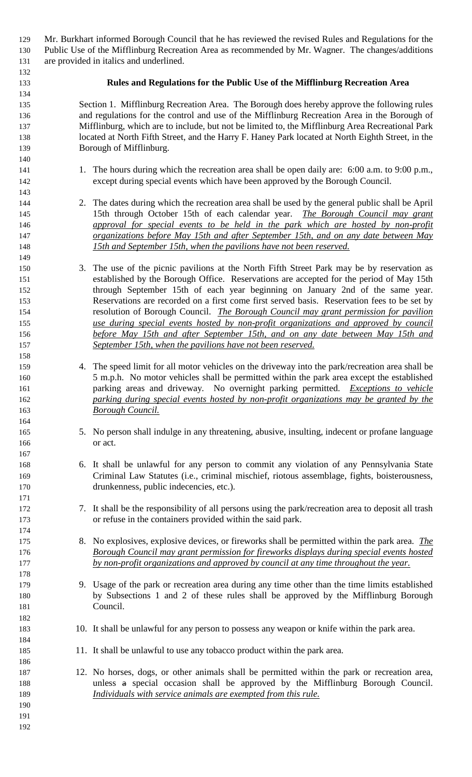| 129        |                                                                                                                                                                                             | Mr. Burkhart informed Borough Council that he has reviewed the revised Rules and Regulations for the                                                                            |  |
|------------|---------------------------------------------------------------------------------------------------------------------------------------------------------------------------------------------|---------------------------------------------------------------------------------------------------------------------------------------------------------------------------------|--|
| 130        | Public Use of the Mifflinburg Recreation Area as recommended by Mr. Wagner. The changes/additions                                                                                           |                                                                                                                                                                                 |  |
| 131        |                                                                                                                                                                                             | are provided in italics and underlined.                                                                                                                                         |  |
| 132        |                                                                                                                                                                                             |                                                                                                                                                                                 |  |
| 133        |                                                                                                                                                                                             | Rules and Regulations for the Public Use of the Mifflinburg Recreation Area                                                                                                     |  |
| 134<br>135 |                                                                                                                                                                                             |                                                                                                                                                                                 |  |
| 136        | Section 1. Mifflinburg Recreation Area. The Borough does hereby approve the following rules<br>and regulations for the control and use of the Mifflinburg Recreation Area in the Borough of |                                                                                                                                                                                 |  |
| 137        | Mifflinburg, which are to include, but not be limited to, the Mifflinburg Area Recreational Park                                                                                            |                                                                                                                                                                                 |  |
| 138        | located at North Fifth Street, and the Harry F. Haney Park located at North Eighth Street, in the                                                                                           |                                                                                                                                                                                 |  |
| 139        | Borough of Mifflinburg.                                                                                                                                                                     |                                                                                                                                                                                 |  |
| 140        |                                                                                                                                                                                             |                                                                                                                                                                                 |  |
| 141        |                                                                                                                                                                                             | 1. The hours during which the recreation area shall be open daily are: 6:00 a.m. to 9:00 p.m.,                                                                                  |  |
| 142        |                                                                                                                                                                                             | except during special events which have been approved by the Borough Council.                                                                                                   |  |
| 143        |                                                                                                                                                                                             |                                                                                                                                                                                 |  |
| 144        |                                                                                                                                                                                             | 2. The dates during which the recreation area shall be used by the general public shall be April                                                                                |  |
| 145        |                                                                                                                                                                                             | 15th through October 15th of each calendar year. The Borough Council may grant                                                                                                  |  |
| 146        |                                                                                                                                                                                             | approval for special events to be held in the park which are hosted by non-profit                                                                                               |  |
| 147        |                                                                                                                                                                                             | organizations before May 15th and after September 15th, and on any date between May                                                                                             |  |
| 148        |                                                                                                                                                                                             | 15th and September 15th, when the pavilions have not been reserved.                                                                                                             |  |
| 149<br>150 |                                                                                                                                                                                             | 3. The use of the picnic pavilions at the North Fifth Street Park may be by reservation as                                                                                      |  |
| 151        |                                                                                                                                                                                             | established by the Borough Office. Reservations are accepted for the period of May 15th                                                                                         |  |
| 152        |                                                                                                                                                                                             | through September 15th of each year beginning on January 2nd of the same year.                                                                                                  |  |
| 153        |                                                                                                                                                                                             | Reservations are recorded on a first come first served basis. Reservation fees to be set by                                                                                     |  |
| 154        |                                                                                                                                                                                             | resolution of Borough Council. The Borough Council may grant permission for pavilion                                                                                            |  |
| 155        |                                                                                                                                                                                             | use during special events hosted by non-profit organizations and approved by council                                                                                            |  |
| 156        |                                                                                                                                                                                             | before May 15th and after September 15th, and on any date between May 15th and                                                                                                  |  |
| 157        |                                                                                                                                                                                             | September 15th, when the pavilions have not been reserved.                                                                                                                      |  |
| 158        |                                                                                                                                                                                             |                                                                                                                                                                                 |  |
| 159        |                                                                                                                                                                                             | 4. The speed limit for all motor vehicles on the driveway into the park/recreation area shall be                                                                                |  |
| 160        |                                                                                                                                                                                             | 5 m.p.h. No motor vehicles shall be permitted within the park area except the established                                                                                       |  |
| 161        |                                                                                                                                                                                             | parking areas and driveway. No overnight parking permitted. <i>Exceptions to vehicle</i>                                                                                        |  |
| 162        |                                                                                                                                                                                             | parking during special events hosted by non-profit organizations may be granted by the                                                                                          |  |
| 163<br>164 |                                                                                                                                                                                             | <b>Borough Council.</b>                                                                                                                                                         |  |
| 165        |                                                                                                                                                                                             | 5. No person shall indulge in any threatening, abusive, insulting, indecent or profane language                                                                                 |  |
| 166        |                                                                                                                                                                                             | or act.                                                                                                                                                                         |  |
| 167        |                                                                                                                                                                                             |                                                                                                                                                                                 |  |
| 168        |                                                                                                                                                                                             | 6. It shall be unlawful for any person to commit any violation of any Pennsylvania State                                                                                        |  |
| 169        |                                                                                                                                                                                             | Criminal Law Statutes (i.e., criminal mischief, riotous assemblage, fights, boisterousness,                                                                                     |  |
| 170        |                                                                                                                                                                                             | drunkenness, public indecencies, etc.).                                                                                                                                         |  |
| 171        |                                                                                                                                                                                             |                                                                                                                                                                                 |  |
| 172        |                                                                                                                                                                                             | 7. It shall be the responsibility of all persons using the park/recreation area to deposit all trash                                                                            |  |
| 173        |                                                                                                                                                                                             | or refuse in the containers provided within the said park.                                                                                                                      |  |
| 174        |                                                                                                                                                                                             | 8. No explosives, explosive devices, or fireworks shall be permitted within the park area. <i>The</i>                                                                           |  |
| 175<br>176 |                                                                                                                                                                                             | Borough Council may grant permission for fireworks displays during special events hosted                                                                                        |  |
| 177        |                                                                                                                                                                                             | by non-profit organizations and approved by council at any time throughout the year.                                                                                            |  |
| 178        |                                                                                                                                                                                             |                                                                                                                                                                                 |  |
| 179        |                                                                                                                                                                                             | 9. Usage of the park or recreation area during any time other than the time limits established                                                                                  |  |
| 180        |                                                                                                                                                                                             | by Subsections 1 and 2 of these rules shall be approved by the Mifflinburg Borough                                                                                              |  |
| 181        |                                                                                                                                                                                             | Council.                                                                                                                                                                        |  |
| 182        |                                                                                                                                                                                             |                                                                                                                                                                                 |  |
| 183        |                                                                                                                                                                                             | 10. It shall be unlawful for any person to possess any weapon or knife within the park area.                                                                                    |  |
| 184        |                                                                                                                                                                                             |                                                                                                                                                                                 |  |
| 185        |                                                                                                                                                                                             | 11. It shall be unlawful to use any tobacco product within the park area.                                                                                                       |  |
| 186        |                                                                                                                                                                                             |                                                                                                                                                                                 |  |
| 187<br>188 |                                                                                                                                                                                             | 12. No horses, dogs, or other animals shall be permitted within the park or recreation area,<br>unless a special occasion shall be approved by the Mifflinburg Borough Council. |  |
| 189        |                                                                                                                                                                                             | Individuals with service animals are exempted from this rule.                                                                                                                   |  |
| 190        |                                                                                                                                                                                             |                                                                                                                                                                                 |  |
| 191        |                                                                                                                                                                                             |                                                                                                                                                                                 |  |
| 192        |                                                                                                                                                                                             |                                                                                                                                                                                 |  |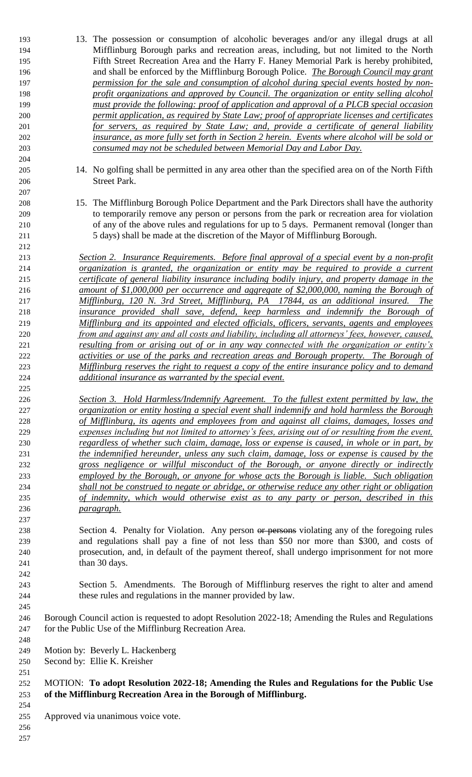- 13. The possession or consumption of alcoholic beverages and/or any illegal drugs at all Mifflinburg Borough parks and recreation areas, including, but not limited to the North Fifth Street Recreation Area and the Harry F. Haney Memorial Park is hereby prohibited, and shall be enforced by the Mifflinburg Borough Police. *The Borough Council may grant permission for the sale and consumption of alcohol during special events hosted by non- profit organizations and approved by Council. The organization or entity selling alcohol must provide the following: proof of application and approval of a PLCB special occasion permit application, as required by State Law; proof of appropriate licenses and certificates for servers, as required by State Law; and, provide a certificate of general liability insurance, as more fully set forth in Section 2 herein. Events where alcohol will be sold or consumed may not be scheduled between Memorial Day and Labor Day.* 14. No golfing shall be permitted in any area other than the specified area on of the North Fifth Street Park. 15. The Mifflinburg Borough Police Department and the Park Directors shall have the authority to temporarily remove any person or persons from the park or recreation area for violation of any of the above rules and regulations for up to 5 days. Permanent removal (longer than 5 days) shall be made at the discretion of the Mayor of Mifflinburg Borough. *Section 2. Insurance Requirements. Before final approval of a special event by a non-profit organization is granted, the organization or entity may be required to provide a current certificate of general liability insurance including bodily injury, and property damage in the amount of \$1,000,000 per occurrence and aggregate of \$2,000,000, naming the Borough of Mifflinburg, 120 N. 3rd Street, Mifflinburg, PA 17844, as an additional insured. The insurance provided shall save, defend, keep harmless and indemnify the Borough of Mifflinburg and its appointed and elected officials, officers, servants, agents and employees from and against any and all costs and liability, including all attorneys' fees, however, caused, resulting from or arising out of or in any way connected with the organization or entity's activities or use of the parks and recreation areas and Borough property. The Borough of Mifflinburg reserves the right to request a copy of the entire insurance policy and to demand additional insurance as warranted by the special event. Section 3. Hold Harmless/Indemnify Agreement. To the fullest extent permitted by law, the organization or entity hosting a special event shall indemnify and hold harmless the Borough of Mifflinburg, its agents and employees from and against all claims, damages, losses and expenses including but not limited to attorney's fees, arising out of or resulting from the event, regardless of whether such claim, damage, loss or expense is caused, in whole or in part, by the indemnified hereunder, unless any such claim, damage, loss or expense is caused by the gross negligence or willful misconduct of the Borough, or anyone directly or indirectly employed by the Borough, or anyone for whose acts the Borough is liable. Such obligation shall not be construed to negate or abridge, or otherwise reduce any other right or obligation of indemnity, which would otherwise exist as to any party or person, described in this*
- 238 Section 4. Penalty for Violation. Any person or persons violating any of the foregoing rules and regulations shall pay a fine of not less than \$50 nor more than \$300, and costs of prosecution, and, in default of the payment thereof, shall undergo imprisonment for not more 241 than 30 days.
- Section 5. Amendments. The Borough of Mifflinburg reserves the right to alter and amend these rules and regulations in the manner provided by law.
- Borough Council action is requested to adopt Resolution 2022-18; Amending the Rules and Regulations for the Public Use of the Mifflinburg Recreation Area.
- Motion by: Beverly L. Hackenberg
- Second by: Ellie K. Kreisher

*paragraph.*

- MOTION: **To adopt Resolution 2022-18; Amending the Rules and Regulations for the Public Use of the Mifflinburg Recreation Area in the Borough of Mifflinburg.**
- Approved via unanimous voice vote.
-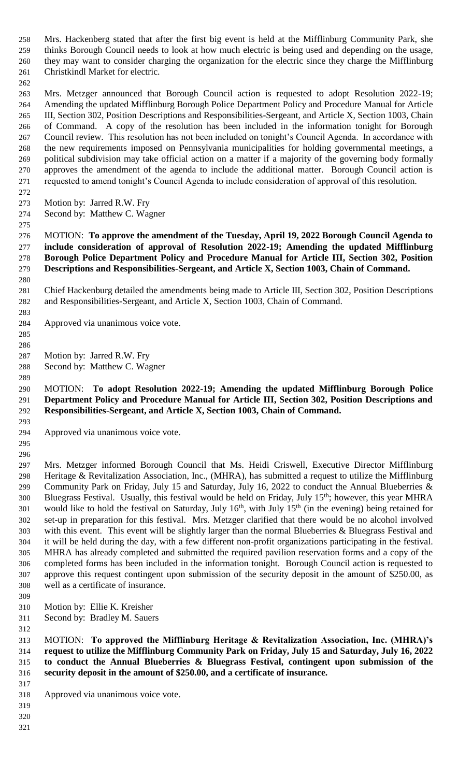Mrs. Hackenberg stated that after the first big event is held at the Mifflinburg Community Park, she thinks Borough Council needs to look at how much electric is being used and depending on the usage, they may want to consider charging the organization for the electric since they charge the Mifflinburg Christkindl Market for electric.

 Mrs. Metzger announced that Borough Council action is requested to adopt Resolution 2022-19; Amending the updated Mifflinburg Borough Police Department Policy and Procedure Manual for Article III, Section 302, Position Descriptions and Responsibilities-Sergeant, and Article X, Section 1003, Chain of Command. A copy of the resolution has been included in the information tonight for Borough Council review. This resolution has not been included on tonight's Council Agenda. In accordance with the new requirements imposed on Pennsylvania municipalities for holding governmental meetings, a political subdivision may take official action on a matter if a majority of the governing body formally approves the amendment of the agenda to include the additional matter. Borough Council action is requested to amend tonight's Council Agenda to include consideration of approval of this resolution.

- Motion by: Jarred R.W. Fry
- Second by: Matthew C. Wagner
- 

 MOTION: **To approve the amendment of the Tuesday, April 19, 2022 Borough Council Agenda to include consideration of approval of Resolution 2022-19; Amending the updated Mifflinburg Borough Police Department Policy and Procedure Manual for Article III, Section 302, Position Descriptions and Responsibilities-Sergeant, and Article X, Section 1003, Chain of Command.**

 Chief Hackenburg detailed the amendments being made to Article III, Section 302, Position Descriptions and Responsibilities-Sergeant, and Article X, Section 1003, Chain of Command.

Approved via unanimous voice vote.

 

Motion by: Jarred R.W. Fry

Second by: Matthew C. Wagner

# MOTION: **To adopt Resolution 2022-19; Amending the updated Mifflinburg Borough Police Department Policy and Procedure Manual for Article III, Section 302, Position Descriptions and Responsibilities-Sergeant, and Article X, Section 1003, Chain of Command.**

Approved via unanimous voice vote.

 

 Mrs. Metzger informed Borough Council that Ms. Heidi Criswell, Executive Director Mifflinburg Heritage & Revitalization Association, Inc., (MHRA), has submitted a request to utilize the Mifflinburg 299 Community Park on Friday, July 15 and Saturday, July 16, 2022 to conduct the Annual Blueberries & 300 Bluegrass Festival. Usually, this festival would be held on Friday, July 15<sup>th</sup>; however, this year MHRA 301 would like to hold the festival on Saturday, July  $16<sup>th</sup>$ , with July  $15<sup>th</sup>$  (in the evening) being retained for set-up in preparation for this festival. Mrs. Metzger clarified that there would be no alcohol involved with this event. This event will be slightly larger than the normal Blueberries & Bluegrass Festival and it will be held during the day, with a few different non-profit organizations participating in the festival. MHRA has already completed and submitted the required pavilion reservation forms and a copy of the completed forms has been included in the information tonight. Borough Council action is requested to approve this request contingent upon submission of the security deposit in the amount of \$250.00, as well as a certificate of insurance.

- Motion by: Ellie K. Kreisher
- Second by: Bradley M. Sauers

 MOTION: **To approved the Mifflinburg Heritage & Revitalization Association, Inc. (MHRA)'s request to utilize the Mifflinburg Community Park on Friday, July 15 and Saturday, July 16, 2022 to conduct the Annual Blueberries & Bluegrass Festival, contingent upon submission of the security deposit in the amount of \$250.00, and a certificate of insurance.** 

- Approved via unanimous voice vote.
- 

- 
-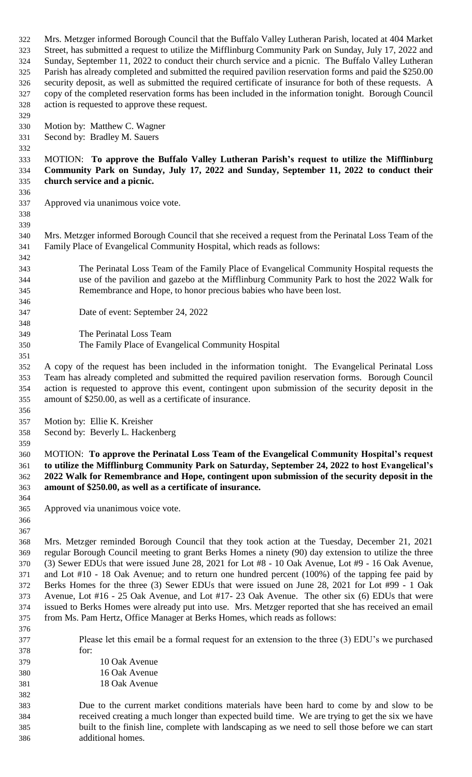Mrs. Metzger informed Borough Council that the Buffalo Valley Lutheran Parish, located at 404 Market Street, has submitted a request to utilize the Mifflinburg Community Park on Sunday, July 17, 2022 and Sunday, September 11, 2022 to conduct their church service and a picnic. The Buffalo Valley Lutheran Parish has already completed and submitted the required pavilion reservation forms and paid the \$250.00 security deposit, as well as submitted the required certificate of insurance for both of these requests. A copy of the completed reservation forms has been included in the information tonight. Borough Council action is requested to approve these request.

- Motion by: Matthew C. Wagner
- Second by: Bradley M. Sauers

#### MOTION: **To approve the Buffalo Valley Lutheran Parish's request to utilize the Mifflinburg Community Park on Sunday, July 17, 2022 and Sunday, September 11, 2022 to conduct their church service and a picnic.**

Approved via unanimous voice vote.

 

 Mrs. Metzger informed Borough Council that she received a request from the Perinatal Loss Team of the Family Place of Evangelical Community Hospital, which reads as follows:

- The Perinatal Loss Team of the Family Place of Evangelical Community Hospital requests the use of the pavilion and gazebo at the Mifflinburg Community Park to host the 2022 Walk for Remembrance and Hope, to honor precious babies who have been lost.
- Date of event: September 24, 2022
- The Perinatal Loss Team The Family Place of Evangelical Community Hospital
- A copy of the request has been included in the information tonight. The Evangelical Perinatal Loss Team has already completed and submitted the required pavilion reservation forms. Borough Council action is requested to approve this event, contingent upon submission of the security deposit in the amount of \$250.00, as well as a certificate of insurance.
- Motion by: Ellie K. Kreisher
- Second by: Beverly L. Hackenberg

#### MOTION: **To approve the Perinatal Loss Team of the Evangelical Community Hospital's request to utilize the Mifflinburg Community Park on Saturday, September 24, 2022 to host Evangelical's 2022 Walk for Remembrance and Hope, contingent upon submission of the security deposit in the amount of \$250.00, as well as a certificate of insurance.**

- Approved via unanimous voice vote.
- 

 Mrs. Metzger reminded Borough Council that they took action at the Tuesday, December 21, 2021 regular Borough Council meeting to grant Berks Homes a ninety (90) day extension to utilize the three (3) Sewer EDUs that were issued June 28, 2021 for Lot #8 - 10 Oak Avenue, Lot #9 - 16 Oak Avenue, and Lot #10 - 18 Oak Avenue; and to return one hundred percent (100%) of the tapping fee paid by Berks Homes for the three (3) Sewer EDUs that were issued on June 28, 2021 for Lot #99 - 1 Oak Avenue, Lot #16 - 25 Oak Avenue, and Lot #17- 23 Oak Avenue. The other six (6) EDUs that were issued to Berks Homes were already put into use. Mrs. Metzger reported that she has received an email from Ms. Pam Hertz, Office Manager at Berks Homes, which reads as follows:

 Please let this email be a formal request for an extension to the three (3) EDU's we purchased for:

| 379 | 10 Oak Avenue |
|-----|---------------|
| 380 | 16 Oak Avenue |
| 381 | 18 Oak Avenue |

 Due to the current market conditions materials have been hard to come by and slow to be received creating a much longer than expected build time. We are trying to get the six we have built to the finish line, complete with landscaping as we need to sell those before we can start additional homes.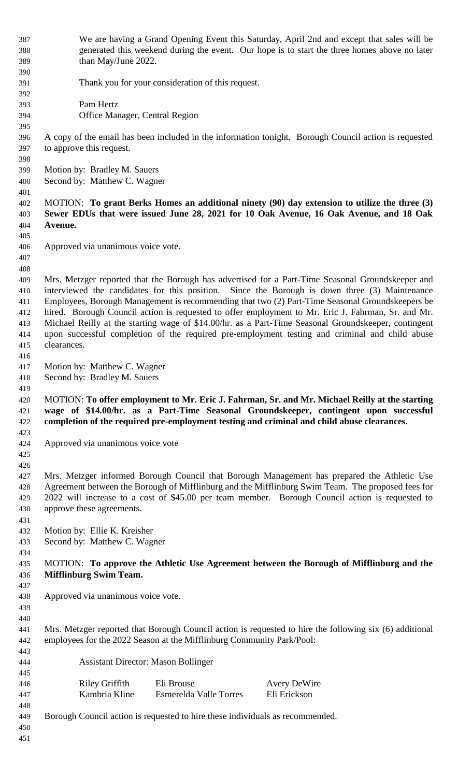| 387        | We are having a Grand Opening Event this Saturday, April 2nd and except that sales will be              |  |  |
|------------|---------------------------------------------------------------------------------------------------------|--|--|
| 388        | generated this weekend during the event. Our hope is to start the three homes above no later            |  |  |
|            | than May/June 2022.                                                                                     |  |  |
| 389        |                                                                                                         |  |  |
| 390        |                                                                                                         |  |  |
| 391        | Thank you for your consideration of this request.                                                       |  |  |
| 392        |                                                                                                         |  |  |
| 393        | Pam Hertz                                                                                               |  |  |
| 394        | Office Manager, Central Region                                                                          |  |  |
| 395        |                                                                                                         |  |  |
| 396        | A copy of the email has been included in the information tonight. Borough Council action is requested   |  |  |
| 397        | to approve this request.                                                                                |  |  |
| 398        |                                                                                                         |  |  |
| 399        | Motion by: Bradley M. Sauers                                                                            |  |  |
| 400        | Second by: Matthew C. Wagner                                                                            |  |  |
| 401        |                                                                                                         |  |  |
| 402        | MOTION: To grant Berks Homes an additional ninety (90) day extension to utilize the three (3)           |  |  |
| 403        | Sewer EDUs that were issued June 28, 2021 for 10 Oak Avenue, 16 Oak Avenue, and 18 Oak                  |  |  |
| 404        | Avenue.                                                                                                 |  |  |
| 405        |                                                                                                         |  |  |
| 406        | Approved via unanimous voice vote.                                                                      |  |  |
| 407        |                                                                                                         |  |  |
| 408        |                                                                                                         |  |  |
| 409        | Mrs. Metzger reported that the Borough has advertised for a Part-Time Seasonal Groundskeeper and        |  |  |
| 410        | interviewed the candidates for this position. Since the Borough is down three (3) Maintenance           |  |  |
| 411        | Employees, Borough Management is recommending that two (2) Part-Time Seasonal Groundskeepers be         |  |  |
| 412        | hired. Borough Council action is requested to offer employment to Mr. Eric J. Fahrman, Sr. and Mr.      |  |  |
| 413        | Michael Reilly at the starting wage of \$14.00/hr. as a Part-Time Seasonal Groundskeeper, contingent    |  |  |
|            | upon successful completion of the required pre-employment testing and criminal and child abuse          |  |  |
| 414        | clearances.                                                                                             |  |  |
| 415        |                                                                                                         |  |  |
| 416        |                                                                                                         |  |  |
| 417        | Motion by: Matthew C. Wagner                                                                            |  |  |
| 418        | Second by: Bradley M. Sauers                                                                            |  |  |
|            |                                                                                                         |  |  |
| 419        |                                                                                                         |  |  |
| 420        | MOTION: To offer employment to Mr. Eric J. Fahrman, Sr. and Mr. Michael Reilly at the starting          |  |  |
| 421        | wage of \$14.00/hr. as a Part-Time Seasonal Groundskeeper, contingent upon successful                   |  |  |
| 422        | completion of the required pre-employment testing and criminal and child abuse clearances.              |  |  |
| 423        |                                                                                                         |  |  |
| 424        | Approved via unanimous voice vote                                                                       |  |  |
| 425        |                                                                                                         |  |  |
| 426        |                                                                                                         |  |  |
| 427        | Mrs. Metzger informed Borough Council that Borough Management has prepared the Athletic Use             |  |  |
| 428        | Agreement between the Borough of Mifflinburg and the Mifflinburg Swim Team. The proposed fees for       |  |  |
| 429        | 2022 will increase to a cost of \$45.00 per team member. Borough Council action is requested to         |  |  |
| 430        | approve these agreements.                                                                               |  |  |
| 431        |                                                                                                         |  |  |
| 432        | Motion by: Ellie K. Kreisher                                                                            |  |  |
| 433        |                                                                                                         |  |  |
|            | Second by: Matthew C. Wagner                                                                            |  |  |
| 434        |                                                                                                         |  |  |
| 435        | MOTION: To approve the Athletic Use Agreement between the Borough of Mifflinburg and the                |  |  |
| 436        | <b>Mifflinburg Swim Team.</b>                                                                           |  |  |
| 437        |                                                                                                         |  |  |
| 438        | Approved via unanimous voice vote.                                                                      |  |  |
| 439        |                                                                                                         |  |  |
| 440        |                                                                                                         |  |  |
| 441        | Mrs. Metzger reported that Borough Council action is requested to hire the following six (6) additional |  |  |
| 442        | employees for the 2022 Season at the Mifflinburg Community Park/Pool:                                   |  |  |
| 443        |                                                                                                         |  |  |
| 444        | <b>Assistant Director: Mason Bollinger</b>                                                              |  |  |
| 445        |                                                                                                         |  |  |
| 446        | <b>Riley Griffith</b><br>Eli Brouse<br><b>Avery DeWire</b>                                              |  |  |
| 447        | Kambria Kline<br>Eli Erickson<br><b>Esmerelda Valle Torres</b>                                          |  |  |
| 448        |                                                                                                         |  |  |
| 449        | Borough Council action is requested to hire these individuals as recommended.                           |  |  |
| 450<br>451 |                                                                                                         |  |  |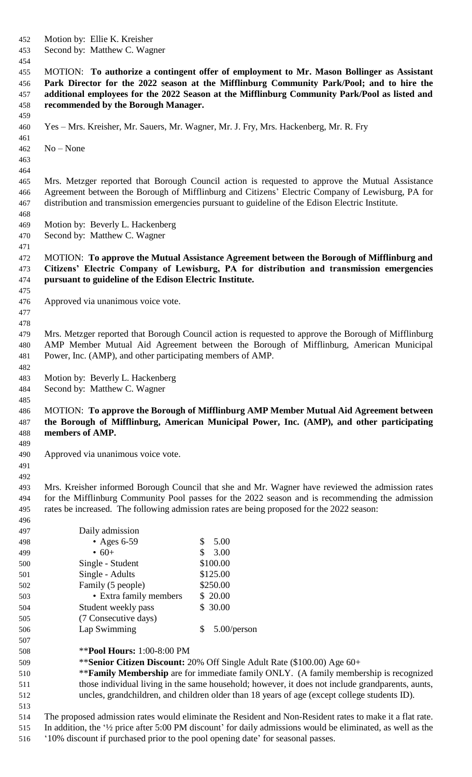Motion by: Ellie K. Kreisher Second by: Matthew C. Wagner MOTION: **To authorize a contingent offer of employment to Mr. Mason Bollinger as Assistant Park Director for the 2022 season at the Mifflinburg Community Park/Pool; and to hire the additional employees for the 2022 Season at the Mifflinburg Community Park/Pool as listed and recommended by the Borough Manager.** Yes – Mrs. Kreisher, Mr. Sauers, Mr. Wagner, Mr. J. Fry, Mrs. Hackenberg, Mr. R. Fry No – None Mrs. Metzger reported that Borough Council action is requested to approve the Mutual Assistance Agreement between the Borough of Mifflinburg and Citizens' Electric Company of Lewisburg, PA for distribution and transmission emergencies pursuant to guideline of the Edison Electric Institute. Motion by: Beverly L. Hackenberg Second by: Matthew C. Wagner MOTION: **To approve the Mutual Assistance Agreement between the Borough of Mifflinburg and Citizens' Electric Company of Lewisburg, PA for distribution and transmission emergencies pursuant to guideline of the Edison Electric Institute.** Approved via unanimous voice vote. Mrs. Metzger reported that Borough Council action is requested to approve the Borough of Mifflinburg AMP Member Mutual Aid Agreement between the Borough of Mifflinburg, American Municipal Power, Inc. (AMP), and other participating members of AMP. Motion by: Beverly L. Hackenberg Second by: Matthew C. Wagner MOTION: **To approve the Borough of Mifflinburg AMP Member Mutual Aid Agreement between the Borough of Mifflinburg, American Municipal Power, Inc. (AMP), and other participating members of AMP.** Approved via unanimous voice vote. Mrs. Kreisher informed Borough Council that she and Mr. Wagner have reviewed the admission rates for the Mifflinburg Community Pool passes for the 2022 season and is recommending the admission rates be increased. The following admission rates are being proposed for the 2022 season: Daily admission 498 • Ages 6-59 \$ 5.00 499 •  $60+$  \$ 3.00 500 Single - Student \$100.00 **Single - Adults** \$125.00 502 Family (5 people) \$250.00 503 • Extra family members \$20.00 504 Student weekly pass \$ 30.00 (7 Consecutive days) Lap Swimming \$ 5.00/person \*\***Pool Hours:** 1:00-8:00 PM \*\***Senior Citizen Discount:** 20% Off Single Adult Rate (\$100.00) Age 60+ \*\***Family Membership** are for immediate family ONLY. (A family membership is recognized those individual living in the same household; however, it does not include grandparents, aunts, uncles, grandchildren, and children older than 18 years of age (except college students ID). The proposed admission rates would eliminate the Resident and Non-Resident rates to make it a flat rate. In addition, the '½ price after 5:00 PM discount' for daily admissions would be eliminated, as well as the '10% discount if purchased prior to the pool opening date' for seasonal passes.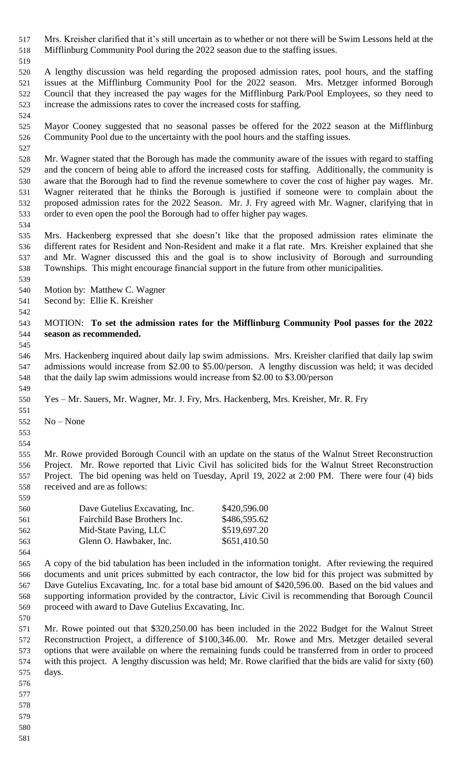Mrs. Kreisher clarified that it's still uncertain as to whether or not there will be Swim Lessons held at the Mifflinburg Community Pool during the 2022 season due to the staffing issues.

 A lengthy discussion was held regarding the proposed admission rates, pool hours, and the staffing issues at the Mifflinburg Community Pool for the 2022 season. Mrs. Metzger informed Borough Council that they increased the pay wages for the Mifflinburg Park/Pool Employees, so they need to increase the admissions rates to cover the increased costs for staffing.

 Mayor Cooney suggested that no seasonal passes be offered for the 2022 season at the Mifflinburg Community Pool due to the uncertainty with the pool hours and the staffing issues.

 Mr. Wagner stated that the Borough has made the community aware of the issues with regard to staffing and the concern of being able to afford the increased costs for staffing. Additionally, the community is aware that the Borough had to find the revenue somewhere to cover the cost of higher pay wages. Mr. Wagner reiterated that he thinks the Borough is justified if someone were to complain about the proposed admission rates for the 2022 Season. Mr. J. Fry agreed with Mr. Wagner, clarifying that in order to even open the pool the Borough had to offer higher pay wages.

 Mrs. Hackenberg expressed that she doesn't like that the proposed admission rates eliminate the different rates for Resident and Non-Resident and make it a flat rate. Mrs. Kreisher explained that she and Mr. Wagner discussed this and the goal is to show inclusivity of Borough and surrounding Townships. This might encourage financial support in the future from other municipalities.

 Motion by: Matthew C. Wagner

Second by: Ellie K. Kreisher

 MOTION: **To set the admission rates for the Mifflinburg Community Pool passes for the 2022 season as recommended.**

 Mrs. Hackenberg inquired about daily lap swim admissions. Mrs. Kreisher clarified that daily lap swim admissions would increase from \$2.00 to \$5.00/person. A lengthy discussion was held; it was decided that the daily lap swim admissions would increase from \$2.00 to \$3.00/person

Yes – Mr. Sauers, Mr. Wagner, Mr. J. Fry, Mrs. Hackenberg, Mrs. Kreisher, Mr. R. Fry

No – None

 

 Mr. Rowe provided Borough Council with an update on the status of the Walnut Street Reconstruction Project. Mr. Rowe reported that Livic Civil has solicited bids for the Walnut Street Reconstruction Project. The bid opening was held on Tuesday, April 19, 2022 at 2:00 PM. There were four (4) bids received and are as follows:

| 559 |                                |              |  |
|-----|--------------------------------|--------------|--|
| 560 | Dave Gutelius Excavating, Inc. | \$420,596.00 |  |
| 561 | Fairchild Base Brothers Inc.   | \$486,595.62 |  |
| 562 | Mid-State Paving, LLC          | \$519,697.20 |  |
| 563 | Glenn O. Hawbaker, Inc.        | \$651,410.50 |  |
| 564 |                                |              |  |

 A copy of the bid tabulation has been included in the information tonight. After reviewing the required documents and unit prices submitted by each contractor, the low bid for this project was submitted by Dave Gutelius Excavating, Inc. for a total base bid amount of \$420,596.00. Based on the bid values and supporting information provided by the contractor, Livic Civil is recommending that Borough Council proceed with award to Dave Gutelius Excavating, Inc.

 Mr. Rowe pointed out that \$320,250.00 has been included in the 2022 Budget for the Walnut Street Reconstruction Project, a difference of \$100,346.00. Mr. Rowe and Mrs. Metzger detailed several options that were available on where the remaining funds could be transferred from in order to proceed with this project. A lengthy discussion was held; Mr. Rowe clarified that the bids are valid for sixty (60) days.

- 
- 
- 
-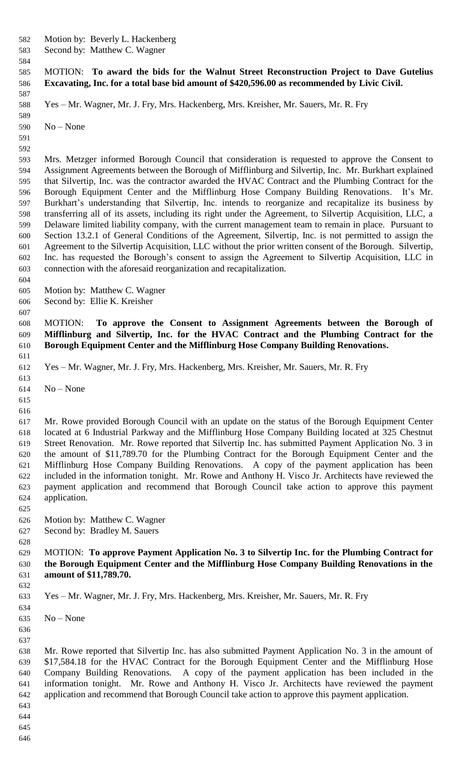Motion by: Beverly L. Hackenberg

Second by: Matthew C. Wagner

### MOTION: **To award the bids for the Walnut Street Reconstruction Project to Dave Gutelius Excavating, Inc. for a total base bid amount of \$420,596.00 as recommended by Livic Civil.**

Yes – Mr. Wagner, Mr. J. Fry, Mrs. Hackenberg, Mrs. Kreisher, Mr. Sauers, Mr. R. Fry

 No – None

 

 Mrs. Metzger informed Borough Council that consideration is requested to approve the Consent to Assignment Agreements between the Borough of Mifflinburg and Silvertip, Inc. Mr. Burkhart explained that Silvertip, Inc. was the contractor awarded the HVAC Contract and the Plumbing Contract for the Borough Equipment Center and the Mifflinburg Hose Company Building Renovations. It's Mr. Burkhart's understanding that Silvertip, Inc. intends to reorganize and recapitalize its business by transferring all of its assets, including its right under the Agreement, to Silvertip Acquisition, LLC, a Delaware limited liability company, with the current management team to remain in place. Pursuant to Section 13.2.1 of General Conditions of the Agreement, Silvertip, Inc. is not permitted to assign the Agreement to the Silvertip Acquisition, LLC without the prior written consent of the Borough. Silvertip, Inc. has requested the Borough's consent to assign the Agreement to Silvertip Acquisition, LLC in connection with the aforesaid reorganization and recapitalization.

Motion by: Matthew C. Wagner

Second by: Ellie K. Kreisher

 MOTION: **To approve the Consent to Assignment Agreements between the Borough of Mifflinburg and Silvertip, Inc. for the HVAC Contract and the Plumbing Contract for the Borough Equipment Center and the Mifflinburg Hose Company Building Renovations.**

Yes – Mr. Wagner, Mr. J. Fry, Mrs. Hackenberg, Mrs. Kreisher, Mr. Sauers, Mr. R. Fry

- No None
- 

 Mr. Rowe provided Borough Council with an update on the status of the Borough Equipment Center located at 6 Industrial Parkway and the Mifflinburg Hose Company Building located at 325 Chestnut Street Renovation. Mr. Rowe reported that Silvertip Inc. has submitted Payment Application No. 3 in the amount of \$11,789.70 for the Plumbing Contract for the Borough Equipment Center and the Mifflinburg Hose Company Building Renovations. A copy of the payment application has been included in the information tonight. Mr. Rowe and Anthony H. Visco Jr. Architects have reviewed the payment application and recommend that Borough Council take action to approve this payment application.

- Motion by: Matthew C. Wagner
- Second by: Bradley M. Sauers

#### MOTION: **To approve Payment Application No. 3 to Silvertip Inc. for the Plumbing Contract for the Borough Equipment Center and the Mifflinburg Hose Company Building Renovations in the amount of \$11,789.70.**

Yes – Mr. Wagner, Mr. J. Fry, Mrs. Hackenberg, Mrs. Kreisher, Mr. Sauers, Mr. R. Fry

No – None

 

 Mr. Rowe reported that Silvertip Inc. has also submitted Payment Application No. 3 in the amount of \$17,584.18 for the HVAC Contract for the Borough Equipment Center and the Mifflinburg Hose Company Building Renovations. A copy of the payment application has been included in the information tonight. Mr. Rowe and Anthony H. Visco Jr. Architects have reviewed the payment application and recommend that Borough Council take action to approve this payment application.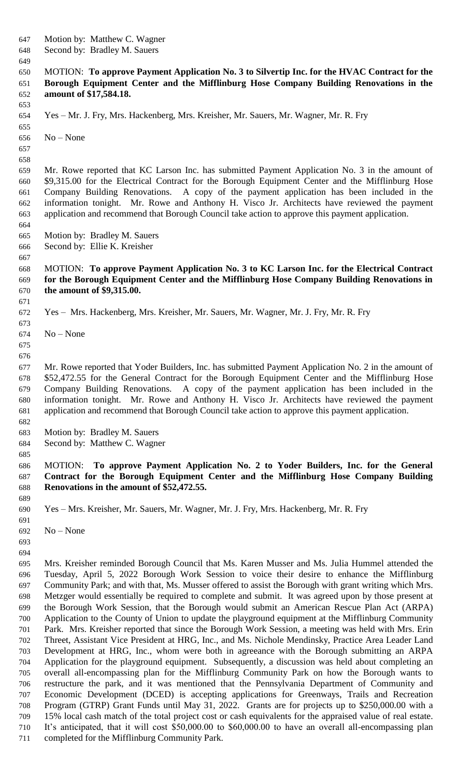- Motion by: Matthew C. Wagner
- Second by: Bradley M. Sauers

## MOTION: **To approve Payment Application No. 3 to Silvertip Inc. for the HVAC Contract for the Borough Equipment Center and the Mifflinburg Hose Company Building Renovations in the amount of \$17,584.18.**

Yes – Mr. J. Fry, Mrs. Hackenberg, Mrs. Kreisher, Mr. Sauers, Mr. Wagner, Mr. R. Fry

No – None

 

 Mr. Rowe reported that KC Larson Inc. has submitted Payment Application No. 3 in the amount of \$9,315.00 for the Electrical Contract for the Borough Equipment Center and the Mifflinburg Hose Company Building Renovations. A copy of the payment application has been included in the information tonight. Mr. Rowe and Anthony H. Visco Jr. Architects have reviewed the payment application and recommend that Borough Council take action to approve this payment application.

- Motion by: Bradley M. Sauers
- Second by: Ellie K. Kreisher
- 

#### MOTION: **To approve Payment Application No. 3 to KC Larson Inc. for the Electrical Contract for the Borough Equipment Center and the Mifflinburg Hose Company Building Renovations in the amount of \$9,315.00.**

Yes – Mrs. Hackenberg, Mrs. Kreisher, Mr. Sauers, Mr. Wagner, Mr. J. Fry, Mr. R. Fry

- No None
- 

 Mr. Rowe reported that Yoder Builders, Inc. has submitted Payment Application No. 2 in the amount of \$52,472.55 for the General Contract for the Borough Equipment Center and the Mifflinburg Hose Company Building Renovations. A copy of the payment application has been included in the information tonight. Mr. Rowe and Anthony H. Visco Jr. Architects have reviewed the payment application and recommend that Borough Council take action to approve this payment application.

- Motion by: Bradley M. Sauers
- Second by: Matthew C. Wagner

## MOTION: **To approve Payment Application No. 2 to Yoder Builders, Inc. for the General Contract for the Borough Equipment Center and the Mifflinburg Hose Company Building Renovations in the amount of \$52,472.55.**

Yes – Mrs. Kreisher, Mr. Sauers, Mr. Wagner, Mr. J. Fry, Mrs. Hackenberg, Mr. R. Fry

No – None

 

 Mrs. Kreisher reminded Borough Council that Ms. Karen Musser and Ms. Julia Hummel attended the Tuesday, April 5, 2022 Borough Work Session to voice their desire to enhance the Mifflinburg Community Park; and with that, Ms. Musser offered to assist the Borough with grant writing which Mrs. Metzger would essentially be required to complete and submit. It was agreed upon by those present at the Borough Work Session, that the Borough would submit an American Rescue Plan Act (ARPA) Application to the County of Union to update the playground equipment at the Mifflinburg Community Park. Mrs. Kreisher reported that since the Borough Work Session, a meeting was held with Mrs. Erin Threet, Assistant Vice President at HRG, Inc., and Ms. Nichole Mendinsky, Practice Area Leader Land Development at HRG, Inc., whom were both in agreeance with the Borough submitting an ARPA Application for the playground equipment. Subsequently, a discussion was held about completing an overall all-encompassing plan for the Mifflinburg Community Park on how the Borough wants to restructure the park, and it was mentioned that the Pennsylvania Department of Community and Economic Development (DCED) is accepting applications for Greenways, Trails and Recreation Program (GTRP) Grant Funds until May 31, 2022. Grants are for projects up to \$250,000.00 with a 15% local cash match of the total project cost or cash equivalents for the appraised value of real estate. It's anticipated, that it will cost \$50,000.00 to \$60,000.00 to have an overall all-encompassing plan completed for the Mifflinburg Community Park.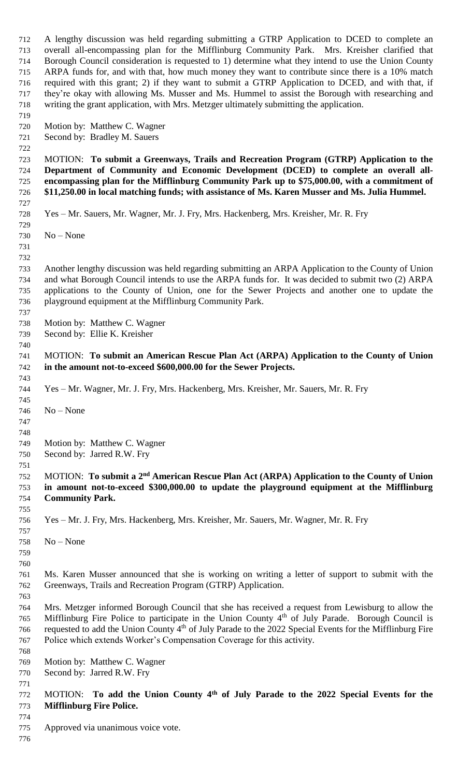A lengthy discussion was held regarding submitting a GTRP Application to DCED to complete an overall all-encompassing plan for the Mifflinburg Community Park. Mrs. Kreisher clarified that Borough Council consideration is requested to 1) determine what they intend to use the Union County ARPA funds for, and with that, how much money they want to contribute since there is a 10% match required with this grant; 2) if they want to submit a GTRP Application to DCED, and with that, if they're okay with allowing Ms. Musser and Ms. Hummel to assist the Borough with researching and writing the grant application, with Mrs. Metzger ultimately submitting the application. Motion by: Matthew C. Wagner Second by: Bradley M. Sauers MOTION: **To submit a Greenways, Trails and Recreation Program (GTRP) Application to the Department of Community and Economic Development (DCED) to complete an overall all- encompassing plan for the Mifflinburg Community Park up to \$75,000.00, with a commitment of \$11,250.00 in local matching funds; with assistance of Ms. Karen Musser and Ms. Julia Hummel.**  Yes – Mr. Sauers, Mr. Wagner, Mr. J. Fry, Mrs. Hackenberg, Mrs. Kreisher, Mr. R. Fry No – None Another lengthy discussion was held regarding submitting an ARPA Application to the County of Union and what Borough Council intends to use the ARPA funds for. It was decided to submit two (2) ARPA applications to the County of Union, one for the Sewer Projects and another one to update the playground equipment at the Mifflinburg Community Park. Motion by: Matthew C. Wagner Second by: Ellie K. Kreisher MOTION: **To submit an American Rescue Plan Act (ARPA) Application to the County of Union in the amount not-to-exceed \$600,000.00 for the Sewer Projects.**  Yes – Mr. Wagner, Mr. J. Fry, Mrs. Hackenberg, Mrs. Kreisher, Mr. Sauers, Mr. R. Fry No – None Motion by: Matthew C. Wagner Second by: Jarred R.W. Fry 752 MOTION: To submit a 2<sup>nd</sup> American Rescue Plan Act (ARPA) Application to the County of Union **in amount not-to-exceed \$300,000.00 to update the playground equipment at the Mifflinburg Community Park.**  Yes – Mr. J. Fry, Mrs. Hackenberg, Mrs. Kreisher, Mr. Sauers, Mr. Wagner, Mr. R. Fry No – None Ms. Karen Musser announced that she is working on writing a letter of support to submit with the Greenways, Trails and Recreation Program (GTRP) Application. Mrs. Metzger informed Borough Council that she has received a request from Lewisburg to allow the 765 Mifflinburg Fire Police to participate in the Union County 4<sup>th</sup> of July Parade. Borough Council is 766 requested to add the Union County 4<sup>th</sup> of July Parade to the 2022 Special Events for the Mifflinburg Fire Police which extends Worker's Compensation Coverage for this activity. Motion by: Matthew C. Wagner Second by: Jarred R.W. Fry 772 MOTION: To add the Union County 4<sup>th</sup> of July Parade to the 2022 Special Events for the **Mifflinburg Fire Police.** Approved via unanimous voice vote.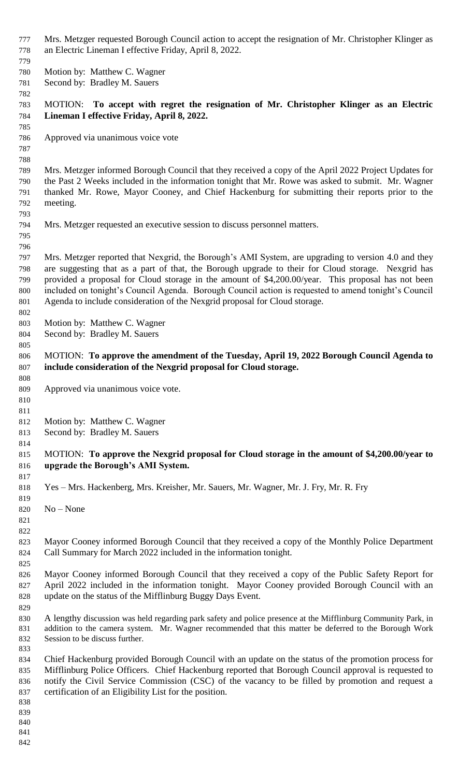- 777 Mrs. Metzger requested Borough Council action to accept the resignation of Mr. Christopher Klinger as an Electric Lineman I effective Friday, April 8, 2022.
- Motion by: Matthew C. Wagner
- Second by: Bradley M. Sauers

# MOTION: **To accept with regret the resignation of Mr. Christopher Klinger as an Electric Lineman I effective Friday, April 8, 2022.**

- Approved via unanimous voice vote
- 

 Mrs. Metzger informed Borough Council that they received a copy of the April 2022 Project Updates for the Past 2 Weeks included in the information tonight that Mr. Rowe was asked to submit. Mr. Wagner thanked Mr. Rowe, Mayor Cooney, and Chief Hackenburg for submitting their reports prior to the meeting.

- Mrs. Metzger requested an executive session to discuss personnel matters.
- 

 Mrs. Metzger reported that Nexgrid, the Borough's AMI System, are upgrading to version 4.0 and they are suggesting that as a part of that, the Borough upgrade to their for Cloud storage. Nexgrid has provided a proposal for Cloud storage in the amount of \$4,200.00/year. This proposal has not been included on tonight's Council Agenda. Borough Council action is requested to amend tonight's Council Agenda to include consideration of the Nexgrid proposal for Cloud storage.

- Motion by: Matthew C. Wagner
- Second by: Bradley M. Sauers
- MOTION: **To approve the amendment of the Tuesday, April 19, 2022 Borough Council Agenda to include consideration of the Nexgrid proposal for Cloud storage.**
- Approved via unanimous voice vote.
- 

- Motion by: Matthew C. Wagner
- Second by: Bradley M. Sauers
- MOTION: **To approve the Nexgrid proposal for Cloud storage in the amount of \$4,200.00/year to upgrade the Borough's AMI System.**
- Yes Mrs. Hackenberg, Mrs. Kreisher, Mr. Sauers, Mr. Wagner, Mr. J. Fry, Mr. R. Fry
- No None
- 

 Mayor Cooney informed Borough Council that they received a copy of the Monthly Police Department Call Summary for March 2022 included in the information tonight.

- Mayor Cooney informed Borough Council that they received a copy of the Public Safety Report for April 2022 included in the information tonight. Mayor Cooney provided Borough Council with an update on the status of the Mifflinburg Buggy Days Event.
- A lengthy discussion was held regarding park safety and police presence at the Mifflinburg Community Park, in addition to the camera system. Mr. Wagner recommended that this matter be deferred to the Borough Work Session to be discuss further.
- Chief Hackenburg provided Borough Council with an update on the status of the promotion process for Mifflinburg Police Officers. Chief Hackenburg reported that Borough Council approval is requested to notify the Civil Service Commission (CSC) of the vacancy to be filled by promotion and request a certification of an Eligibility List for the position.
- 
- 
- 
-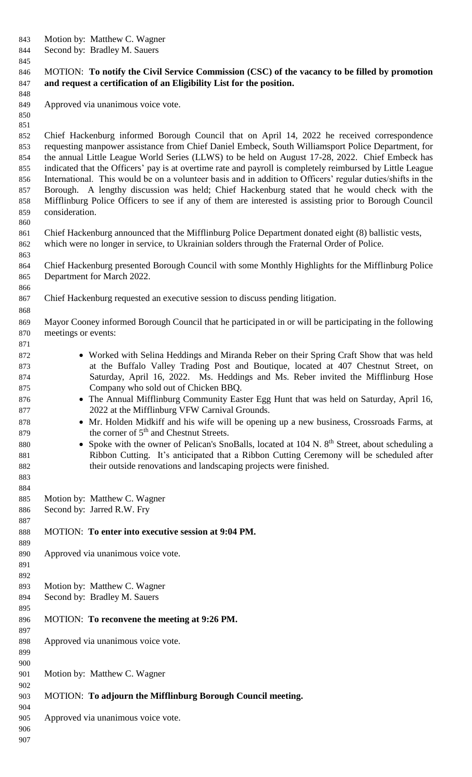- Motion by: Matthew C. Wagner
- Second by: Bradley M. Sauers
- 

## MOTION: **To notify the Civil Service Commission (CSC) of the vacancy to be filled by promotion and request a certification of an Eligibility List for the position.**

- Approved via unanimous voice vote.
- 

 

 

 Chief Hackenburg informed Borough Council that on April 14, 2022 he received correspondence requesting manpower assistance from Chief Daniel Embeck, South Williamsport Police Department, for the annual Little League World Series (LLWS) to be held on August 17-28, 2022. Chief Embeck has indicated that the Officers' pay is at overtime rate and payroll is completely reimbursed by Little League International. This would be on a volunteer basis and in addition to Officers' regular duties/shifts in the Borough. A lengthy discussion was held; Chief Hackenburg stated that he would check with the Mifflinburg Police Officers to see if any of them are interested is assisting prior to Borough Council consideration.

 Chief Hackenburg announced that the Mifflinburg Police Department donated eight (8) ballistic vests, which were no longer in service, to Ukrainian solders through the Fraternal Order of Police.

 Chief Hackenburg presented Borough Council with some Monthly Highlights for the Mifflinburg Police Department for March 2022.

Chief Hackenburg requested an executive session to discuss pending litigation.

 Mayor Cooney informed Borough Council that he participated in or will be participating in the following meetings or events:

- 872 Worked with Selina Heddings and Miranda Reber on their Spring Craft Show that was held at the Buffalo Valley Trading Post and Boutique, located at 407 Chestnut Street, on Saturday, April 16, 2022. Ms. Heddings and Ms. Reber invited the Mifflinburg Hose Company who sold out of Chicken BBQ.
- 876 The Annual Mifflinburg Community Easter Egg Hunt that was held on Saturday, April 16, 2022 at the Mifflinburg VFW Carnival Grounds.
- 878 Mr. Holden Midkiff and his wife will be opening up a new business, Crossroads Farms, at 879 by the corner of  $5<sup>th</sup>$  and Chestnut Streets.
- 880 Spoke with the owner of Pelican's SnoBalls, located at N.  $8<sup>th</sup>$  Street, about scheduling a Ribbon Cutting. It's anticipated that a Ribbon Cutting Ceremony will be scheduled after their outside renovations and landscaping projects were finished.
- Motion by: Matthew C. Wagner
- Second by: Jarred R.W. Fry

## MOTION: **To enter into executive session at 9:04 PM.**

 Approved via unanimous voice vote.

- Motion by: Matthew C. Wagner
- Second by: Bradley M. Sauers
- MOTION: **To reconvene the meeting at 9:26 PM.**

Approved via unanimous voice vote.

Motion by: Matthew C. Wagner

MOTION: **To adjourn the Mifflinburg Borough Council meeting.**

Approved via unanimous voice vote.